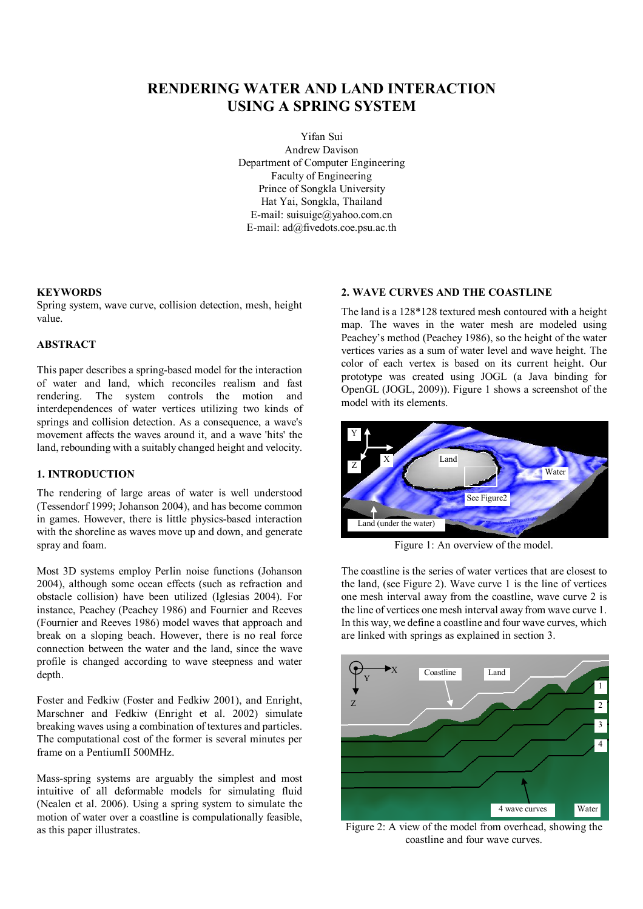# **RENDERING WATER AND LAND INTERACTION USING A SPRING SYSTEM**

Yifan Sui

Andrew Davison Department of Computer Engineering Faculty of Engineering Prince of Songkla University Hat Yai, Songkla, Thailand E-mail: suisuige@yahoo.com.cn E-mail: ad@fivedots.coe.psu.ac.th

# **KEYWORDS**

Spring system, wave curve, collision detection, mesh, height value.

# **ABSTRACT**

This paper describes a spring-based model for the interaction of water and land, which reconciles realism and fast rendering. The system controls the motion and interdependences of water vertices utilizing two kinds of springs and collision detection. As a consequence, a wave's movement affects the waves around it, and a wave 'hits' the land, rebounding with a suitably changed height and velocity.

# **1. INTRODUCTION**

The rendering of large areas of water is well understood (Tessendorf 1999; Johanson 2004), and has become common in games. However, there is little physics-based interaction with the shoreline as waves move up and down, and generate spray and foam.

Most 3D systems employ Perlin noise functions (Johanson 2004), although some ocean effects (such as refraction and obstacle collision) have been utilized (Iglesias 2004). For instance, Peachey (Peachey 1986) and Fournier and Reeves (Fournier and Reeves 1986) model waves that approach and break on a sloping beach. However, there is no real force connection between the water and the land, since the wave profile is changed according to wave steepness and water depth.

Foster and Fedkiw (Foster and Fedkiw 2001), and Enright, Marschner and Fedkiw (Enright et al. 2002) simulate breaking waves using a combination of textures and particles. The computational cost of the former is several minutes per frame on a PentiumII 500MHz.

Mass-spring systems are arguably the simplest and most intuitive of all deformable models for simulating fluid (Nealen et al. 2006). Using a spring system to simulate the motion of water over a coastline is compulationally feasible, as this paper illustrates.

# **2. WAVE CURVES AND THE COASTLINE**

The land is a 128\*128 textured mesh contoured with a height map. The waves in the water mesh are modeled using Peachey's method (Peachey 1986), so the height of the water vertices varies as a sum of water level and wave height. The color of each vertex is based on its current height. Our prototype was created using JOGL (a Java binding for OpenGL (JOGL, 2009)). Figure 1 shows a screenshot of the model with its elements.



Figure 1: An overview of the model.

The coastline is the series of water vertices that are closest to the land, (see Figure 2). Wave curve 1 is the line of vertices one mesh interval away from the coastline, wave curve 2 is the line of vertices one mesh interval away from wave curve 1. In this way, we define a coastline and four wave curves, which are linked with springs as explained in section 3.



Figure 2: A view of the model from overhead, showing the coastline and four wave curves.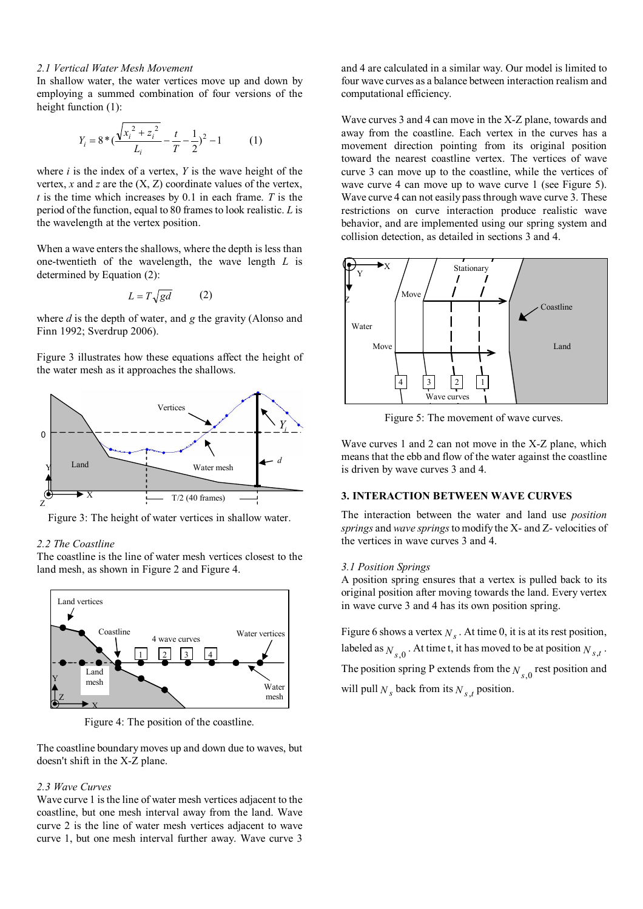### *2.1 Vertical Water Mesh Movement*

In shallow water, the water vertices move up and down by employing a summed combination of four versions of the height function (1):

$$
Y_i = 8 * (\frac{\sqrt{x_i^2 + z_i^2}}{L_i} - \frac{t}{T} - \frac{1}{2})^2 - 1
$$
 (1)

where *i* is the index of a vertex, *Y* is the wave height of the vertex,  $x$  and  $z$  are the  $(X, Z)$  coordinate values of the vertex, *t* is the time which increases by 0.1 in each frame. *T* is the period of the function, equal to 80 frames to look realistic. *L* is the wavelength at the vertex position.

When a wave enters the shallows, where the depth is less than one-twentieth of the wavelength, the wave length *L* is determined by Equation (2):

$$
L = T\sqrt{gd} \tag{2}
$$

where *d* is the depth of water, and *g* the gravity (Alonso and Finn 1992; Sverdrup 2006).

Figure 3 illustrates how these equations affect the height of the water mesh as it approaches the shallows.



Figure 3: The height of water vertices in shallow water.

### *2.2 The Coastline*

The coastline is the line of water mesh vertices closest to the land mesh, as shown in Figure 2 and Figure 4.



Figure 4: The position of the coastline.

The coastline boundary moves up and down due to waves, but doesn't shift in the X-Z plane.

### *2.3 Wave Curves*

Wave curve 1 is the line of water mesh vertices adjacent to the coastline, but one mesh interval away from the land. Wave curve 2 is the line of water mesh vertices adjacent to wave curve 1, but one mesh interval further away. Wave curve 3

and 4 are calculated in a similar way. Our model is limited to four wave curves as a balance between interaction realism and computational efficiency.

Wave curves 3 and 4 can move in the X-Z plane, towards and away from the coastline. Each vertex in the curves has a movement direction pointing from its original position toward the nearest coastline vertex. The vertices of wave curve 3 can move up to the coastline, while the vertices of wave curve 4 can move up to wave curve 1 (see Figure 5). Wave curve 4 can not easily pass through wave curve 3. These restrictions on curve interaction produce realistic wave behavior, and are implemented using our spring system and collision detection, as detailed in sections 3 and 4.



Figure 5: The movement of wave curves.

Wave curves 1 and 2 can not move in the X-Z plane, which means that the ebb and flow of the water against the coastline is driven by wave curves 3 and 4.

# **3. INTERACTION BETWEEN WAVE CURVES**

The interaction between the water and land use *position springs* and *wave springs* to modify the X- and Z- velocities of the vertices in wave curves 3 and 4.

#### *3.1 Position Springs*

A position spring ensures that a vertex is pulled back to its original position after moving towards the land. Every vertex in wave curve 3 and 4 has its own position spring.

Figure 6 shows a vertex  $N_s$ . At time 0, it is at its rest position, labeled as  $N_{s,0}$ . At time t, it has moved to be at position  $N_{s,t}$ . The position spring P extends from the  $N_{s,0}$  rest position and will pull  $N_s$  back from its  $N_{s,t}$  position.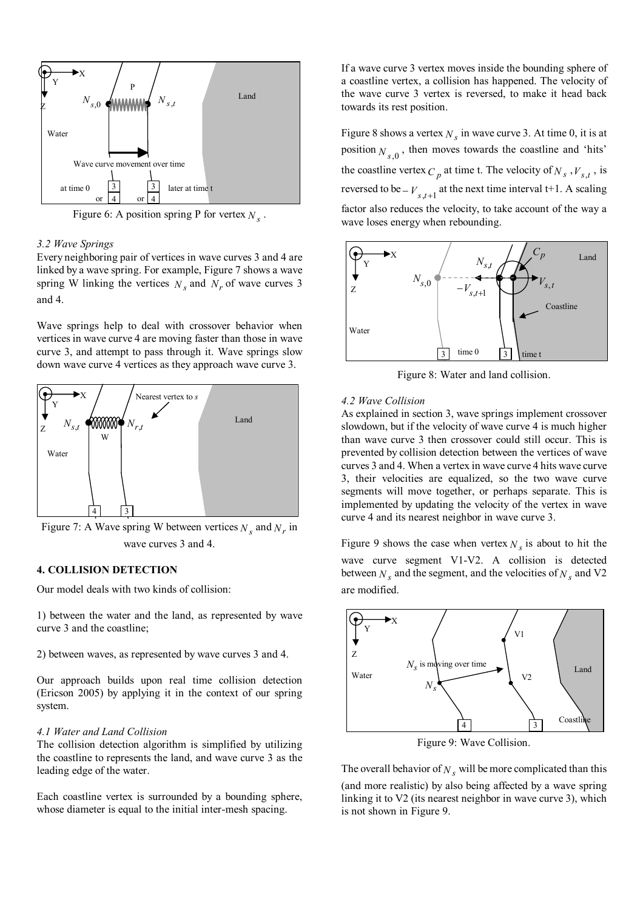

Figure 6: A position spring P for vertex  $N_s$ .

### *3.2 Wave Springs*

Every neighboring pair of vertices in wave curves 3 and 4 are linked by a wave spring. For example, Figure 7 shows a wave spring W linking the vertices  $N_s$  and  $N_r$  of wave curves 3 and 4.

Wave springs help to deal with crossover behavior when vertices in wave curve 4 are moving faster than those in wave curve 3, and attempt to pass through it. Wave springs slow down wave curve 4 vertices as they approach wave curve 3.



Figure 7: A Wave spring W between vertices  $N_s$  and  $N_r$  in wave curves 3 and 4.

# **4. COLLISION DETECTION**

Our model deals with two kinds of collision:

1) between the water and the land, as represented by wave curve 3 and the coastline;

2) between waves, as represented by wave curves 3 and 4.

Our approach builds upon real time collision detection (Ericson 2005) by applying it in the context of our spring system.

## *4.1 Water and Land Collision*

The collision detection algorithm is simplified by utilizing the coastline to represents the land, and wave curve 3 as the leading edge of the water.

Each coastline vertex is surrounded by a bounding sphere, whose diameter is equal to the initial inter-mesh spacing.

If a wave curve 3 vertex moves inside the bounding sphere of a coastline vertex, a collision has happened. The velocity of the wave curve 3 vertex is reversed, to make it head back towards its rest position.

Figure 8 shows a vertex  $N_s$  in wave curve 3. At time 0, it is at position  $N_{s,0}$ , then moves towards the coastline and 'hits' the coastline vertex  $C_p$  at time t. The velocity of  $N_s$ ,  $V_{s,t}$ , is reversed to be  $-V_{s,t+1}$  at the next time interval t+1. A scaling factor also reduces the velocity, to take account of the way a wave loses energy when rebounding.



Figure 8: Water and land collision.

### *4.2 Wave Collision*

As explained in section 3, wave springs implement crossover slowdown, but if the velocity of wave curve 4 is much higher than wave curve 3 then crossover could still occur. This is prevented by collision detection between the vertices of wave curves 3 and 4. When a vertex in wave curve 4 hits wave curve 3, their velocities are equalized, so the two wave curve segments will move together, or perhaps separate. This is implemented by updating the velocity of the vertex in wave curve 4 and its nearest neighbor in wave curve 3.

Figure 9 shows the case when vertex  $N_s$  is about to hit the wave curve segment V1-V2. A collision is detected between  $N_s$  and the segment, and the velocities of  $N_s$  and V2 are modified.



Figure 9: Wave Collision.

The overall behavior of  $N_s$  will be more complicated than this (and more realistic) by also being affected by a wave spring linking it to V2 (its nearest neighbor in wave curve 3), which is not shown in Figure 9.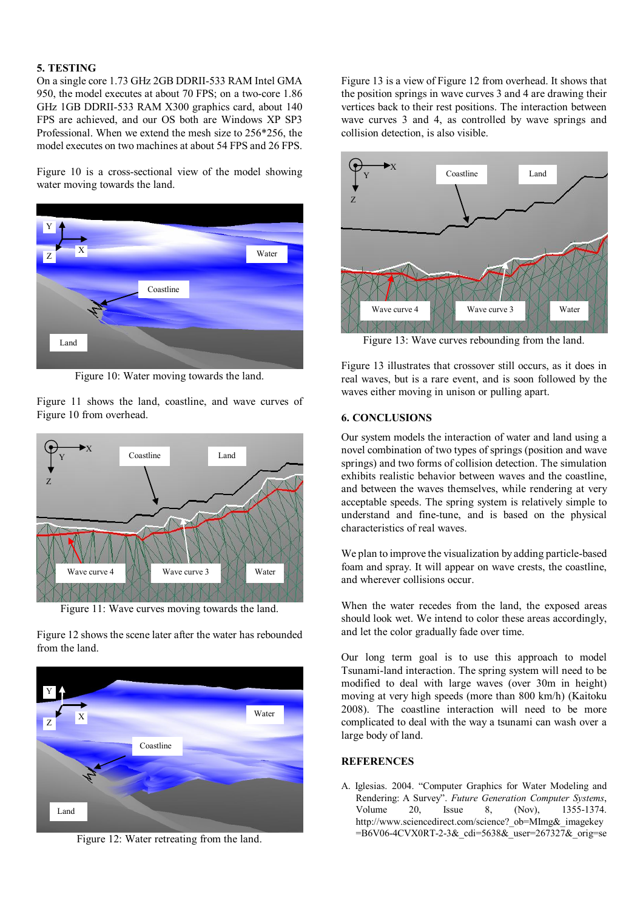# **5. TESTING**

On a single core 1.73 GHz 2GB DDRII-533 RAM Intel GMA 950, the model executes at about 70 FPS; on a two-core 1.86 GHz 1GB DDRII-533 RAM X300 graphics card, about 140 FPS are achieved, and our OS both are Windows XP SP3 Professional. When we extend the mesh size to 256\*256, the model executes on two machines at about 54 FPS and 26 FPS.

Figure 10 is a cross-sectional view of the model showing water moving towards the land.



Figure 10: Water moving towards the land.

Figure 11 shows the land, coastline, and wave curves of Figure 10 from overhead.



Figure 11: Wave curves moving towards the land.

Figure 12 shows the scene later after the water has rebounded from the land.



Figure 12: Water retreating from the land.

Figure 13 is a view of Figure 12 from overhead. It shows that the position springs in wave curves 3 and 4 are drawing their vertices back to their rest positions. The interaction between wave curves 3 and 4, as controlled by wave springs and collision detection, is also visible.



Figure 13: Wave curves rebounding from the land.

Figure 13 illustrates that crossover still occurs, as it does in real waves, but is a rare event, and is soon followed by the waves either moving in unison or pulling apart.

# **6. CONCLUSIONS**

Our system models the interaction of water and land using a novel combination of two types of springs (position and wave springs) and two forms of collision detection. The simulation exhibits realistic behavior between waves and the coastline, and between the waves themselves, while rendering at very acceptable speeds. The spring system is relatively simple to understand and fine-tune, and is based on the physical characteristics of real waves.

We plan to improve the visualization by adding particle-based foam and spray. It will appear on wave crests, the coastline, and wherever collisions occur.

When the water recedes from the land, the exposed areas should look wet. We intend to color these areas accordingly, and let the color gradually fade over time.

Our long term goal is to use this approach to model Tsunami-land interaction. The spring system will need to be modified to deal with large waves (over 30m in height) moving at very high speeds (more than 800 km/h) (Kaitoku 2008). The coastline interaction will need to be more complicated to deal with the way a tsunami can wash over a large body of land.

# **REFERENCES**

A. Iglesias. 2004. "Computer Graphics for Water Modeling and Rendering: A Survey". *Future Generation Computer Systems*, Volume 20, Issue 8, (Nov), 1355-1374. http://www.sciencedirect.com/science? ob=MImg&\_imagekey =B6V06-4CVX0RT-2-3& cdi=5638& user=267327& orig=se